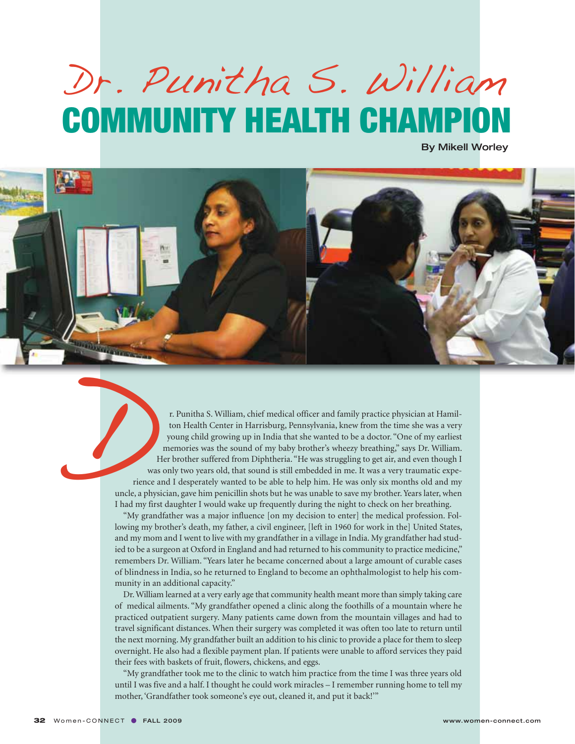## Dr. Punitha S. William **COMMUNITY HEALTH CHAMPION**

By Mikell Worley



r. Punitha S. William, chief medical officer and family practice physician at Hamilton Health Center in Harrisburg, Pennsylvania, knew from the time she was a very young child growing up in India that she wanted to be a doctor. "One of my earliest memories was the sound of my baby brother's wheezy breathing," says Dr. William. Her brother suffered from Diphtheria. "He was struggling to get air, and even though I was only two years old, that sound is still embedded in me. It was a very traumatic experience and I desperately wanted to be able to help him. He was only six months old and my uncle, a physician, gave him penicillin shots but he was unable to save my brother. Years later, when I had my first daughter I would wake up frequently during the night to check on her breathing.

"My grandfather was a major influence [on my decision to enter] the medical profession. Following my brother's death, my father, a civil engineer, [left in 1960 for work in the] United States, and my mom and I went to live with my grandfather in a village in India. My grandfather had studied to be a surgeon at Oxford in England and had returned to his community to practice medicine," remembers Dr. William. "Years later he became concerned about a large amount of curable cases of blindness in India, so he returned to England to become an ophthalmologist to help his community in an additional capacity."

Dr. William learned at a very early age that community health meant more than simply taking care of medical ailments. "My grandfather opened a clinic along the foothills of a mountain where he practiced outpatient surgery. Many patients came down from the mountain villages and had to travel significant distances. When their surgery was completed it was often too late to return until the next morning. My grandfather built an addition to his clinic to provide a place for them to sleep overnight. He also had a flexible payment plan. If patients were unable to afford services they paid their fees with baskets of fruit, flowers, chickens, and eggs.

"My grandfather took me to the clinic to watch him practice from the time I was three years old until I was five and a half. I thought he could work miracles – I remember running home to tell my mother, 'Grandfather took someone's eye out, cleaned it, and put it back!'"